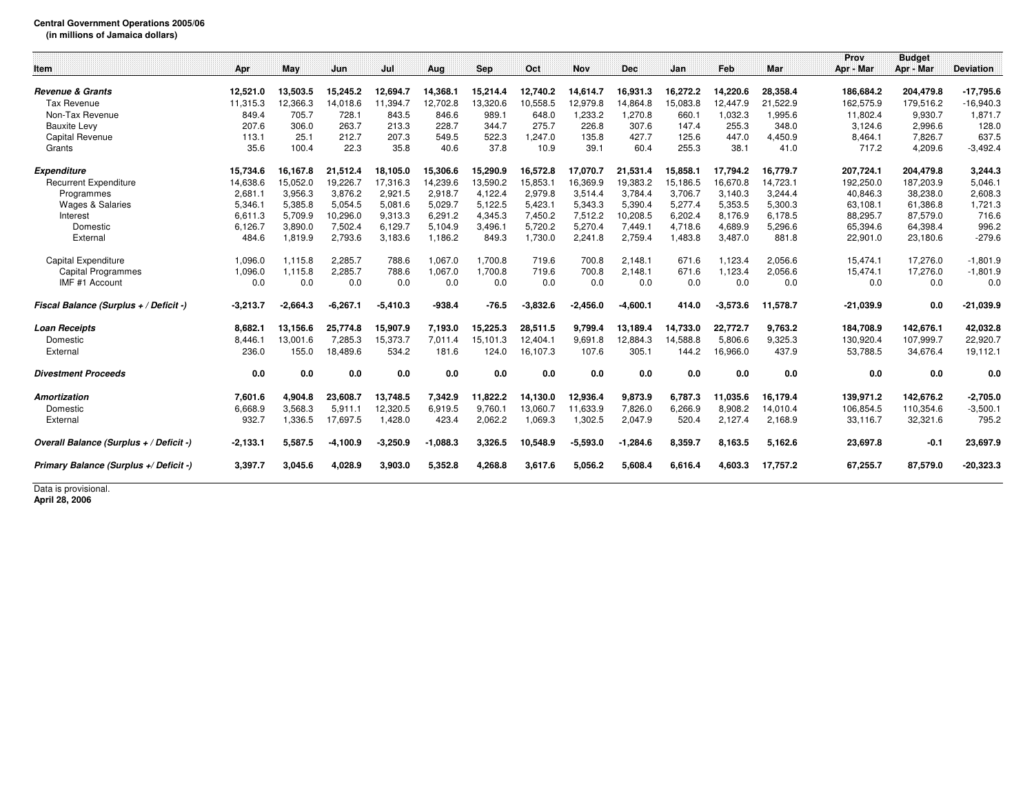## **Central Government Operations 2005/06**

**(in millions of Jamaica dollars)**

|                                         |            |            |            |            |            |          |            |            |            |          |            |          | Prov        | <b>Budget</b> |                  |
|-----------------------------------------|------------|------------|------------|------------|------------|----------|------------|------------|------------|----------|------------|----------|-------------|---------------|------------------|
| Item                                    | Apr        | May        | Jun        | Jul        | Aug        | Sep      | Oct        | <b>Nov</b> | <b>Dec</b> | Jan      | Feb        | Mar      | Apr - Mar   | Apr - Mar     | <b>Deviation</b> |
|                                         |            |            |            |            |            |          |            |            |            |          |            |          |             |               |                  |
| <b>Revenue &amp; Grants</b>             | 12.521.0   | 13.503.5   | 15,245.2   | 12.694.7   | 14.368.1   | 15,214.4 | 12.740.2   | 14.614.7   | 16.931.3   | 16.272.2 | 14,220.6   | 28,358.4 | 186.684.2   | 204,479.8     | $-17,795.6$      |
| Tax Revenue                             | 11,315.3   | 12,366.3   | 14,018.6   | 11,394.7   | 12,702.8   | 13,320.6 | 10,558.5   | 12,979.8   | 14.864.8   | 15,083.8 | 12,447.9   | 21,522.9 | 162,575.9   | 179,516.2     | $-16,940.3$      |
| Non-Tax Revenue                         | 849.4      | 705.7      | 728.1      | 843.5      | 846.6      | 989.1    | 648.0      | 1,233.2    | 1.270.8    | 660.1    | 1,032.3    | 1,995.6  | 11,802.4    | 9,930.7       | 1,871.7          |
| <b>Bauxite Levy</b>                     | 207.6      | 306.0      | 263.7      | 213.3      | 228.7      | 344.7    | 275.7      | 226.8      | 307.6      | 147.4    | 255.3      | 348.0    | 3,124.6     | 2,996.6       | 128.0            |
| <b>Capital Revenue</b>                  | 113.1      | 25.1       | 212.7      | 207.3      | 549.5      | 522.3    | 1,247.0    | 135.8      | 427.7      | 125.6    | 447.0      | 4,450.9  | 8,464.1     | 7,826.7       | 637.5            |
| Grants                                  | 35.6       | 100.4      | 22.3       | 35.8       | 40.6       | 37.8     | 10.9       | 39.1       | 60.4       | 255.3    | 38.1       | 41.0     | 717.2       | 4,209.6       | $-3,492.4$       |
| <b>Expenditure</b>                      | 15.734.6   | 16.167.8   | 21,512.4   | 18.105.0   | 15,306.6   | 15,290.9 | 16,572.8   | 17,070.7   | 21.531.4   | 15,858.1 | 17,794.2   | 16,779.7 | 207,724.1   | 204,479.8     | 3,244.3          |
| <b>Recurrent Expenditure</b>            | 14,638.6   | 15,052.0   | 19,226.7   | 17,316.3   | 14,239.6   | 13,590.2 | 15,853.1   | 16,369.9   | 19,383.2   | 15,186.5 | 16,670.8   | 14,723.1 | 192,250.0   | 187,203.9     | 5,046.1          |
| Programmes                              | 2,681.1    | 3,956.3    | 3,876.2    | 2,921.5    | 2,918.7    | 4,122.4  | 2,979.8    | 3,514.4    | 3,784.4    | 3,706.7  | 3.140.3    | 3,244.4  | 40,846.3    | 38,238.0      | 2,608.3          |
| <b>Wages &amp; Salaries</b>             | 5,346.1    | 5,385.8    | 5,054.5    | 5,081.6    | 5,029.7    | 5,122.5  | 5,423.1    | 5,343.3    | 5,390.4    | 5,277.4  | 5,353.5    | 5,300.3  | 63,108.1    | 61,386.8      | 1,721.3          |
| Interest                                | 6,611.3    | 5,709.9    | 10,296.0   | 9,313.3    | 6,291.2    | 4,345.3  | 7,450.2    | 7,512.2    | 10,208.5   | 6,202.4  | 8,176.9    | 6,178.5  | 88,295.7    | 87,579.0      | 716.6            |
| Domestic                                | 6,126.7    | 3,890.0    | 7,502.4    | 6,129.7    | 5,104.9    | 3,496.1  | 5,720.2    | 5,270.4    | 7.449.1    | 4,718.6  | 4,689.9    | 5,296.6  | 65,394.6    | 64,398.4      | 996.2            |
| External                                | 484.6      | 1,819.9    | 2,793.6    | 3,183.6    | 1,186.2    | 849.3    | 1,730.0    | 2,241.8    | 2,759.4    | 1,483.8  | 3,487.0    | 881.8    | 22,901.0    | 23,180.6      | $-279.6$         |
|                                         |            |            |            |            |            |          |            |            |            |          |            |          |             |               |                  |
| Capital Expenditure                     | 1,096.0    | 1.115.8    | 2,285.7    | 788.6      | 1.067.0    | 1.700.8  | 719.6      | 700.8      | 2.148.1    | 671.6    | 1,123.4    | 2,056.6  | 15,474.1    | 17,276.0      | $-1,801.9$       |
| <b>Capital Programmes</b>               | 1.096.0    | 1.115.8    | 2,285.7    | 788.6      | 1.067.0    | 1.700.8  | 719.6      | 700.8      | 2.148.1    | 671.6    | 1,123.4    | 2,056.6  | 15,474.1    | 17,276.0      | $-1,801.9$       |
| IMF #1 Account                          | 0.0        | 0.0        | 0.0        | 0.0        | 0.0        | 0.0      | 0.0        | 0.0        | 0.0        | 0.0      | 0.0        | 0.0      | 0.0         | 0.0           | 0.0              |
| Fiscal Balance (Surplus + / Deficit -)  | $-3,213.7$ | $-2.664.3$ | $-6,267.1$ | $-5,410.3$ | $-938.4$   | $-76.5$  | $-3.832.6$ | $-2,456.0$ | $-4,600.1$ | 414.0    | $-3,573.6$ | 11,578.7 | $-21,039.9$ | 0.0           | $-21,039.9$      |
| <b>Loan Receipts</b>                    | 8.682.1    | 13,156.6   | 25,774.8   | 15,907.9   | 7,193.0    | 15,225.3 | 28,511.5   | 9,799.4    | 13,189.4   | 14,733.0 | 22,772.7   | 9,763.2  | 184,708.9   | 142,676.1     | 42,032.8         |
| Domestic                                | 8.446.1    | 13.001.6   | 7.285.3    | 15,373.7   | 7.011.4    | 15.101.3 | 12,404.1   | 9.691.8    | 12,884.3   | 14.588.8 | 5.806.6    | 9,325.3  | 130.920.4   | 107,999.7     | 22,920.7         |
| External                                | 236.0      | 155.0      | 18,489.6   | 534.2      | 181.6      | 124.0    | 16,107.3   | 107.6      | 305.1      | 144.2    | 16,966.0   | 437.9    | 53,788.5    | 34,676.4      | 19,112.1         |
| <b>Divestment Proceeds</b>              | 0.0        | 0.0        | 0.0        | 0.0        | 0.0        | 0.0      | 0.0        | 0.0        | 0.0        | 0.0      | 0.0        | 0.0      | 0.0         | 0.0           | 0.0              |
| Amortization                            | 7,601.6    | 4.904.8    | 23,608.7   | 13,748.5   | 7,342.9    | 11,822.2 | 14,130.0   | 12,936.4   | 9,873.9    | 6,787.3  | 11,035.6   | 16.179.4 | 139,971.2   | 142,676.2     | $-2,705.0$       |
| Domestic                                | 6,668.9    | 3,568.3    | 5,911.1    | 12,320.5   | 6,919.5    | 9,760.1  | 13,060.7   | 11,633.9   | 7,826.0    | 6,266.9  | 8,908.2    | 14,010.4 | 106,854.5   | 110,354.6     | $-3,500.1$       |
| External                                | 932.7      | 1,336.5    | 17,697.5   | 1,428.0    | 423.4      | 2,062.2  | 1,069.3    | 1,302.5    | 2,047.9    | 520.4    | 2,127.4    | 2,168.9  | 33,116.7    | 32,321.6      | 795.2            |
| Overall Balance (Surplus + / Deficit -) | $-2.133.1$ | 5,587.5    | $-4.100.9$ | $-3.250.9$ | $-1.088.3$ | 3.326.5  | 10.548.9   | $-5,593.0$ | $-1.284.6$ | 8.359.7  | 8.163.5    | 5.162.6  | 23.697.8    | $-0.1$        | 23,697.9         |
| Primary Balance (Surplus +/ Deficit -)  | 3,397.7    | 3.045.6    | 4.028.9    | 3.903.0    | 5,352.8    | 4.268.8  | 3.617.6    | 5.056.2    | 5.608.4    | 6.616.4  | 4.603.3    | 17.757.2 | 67,255.7    | 87,579.0      | $-20,323.3$      |
| Data is provisional                     |            |            |            |            |            |          |            |            |            |          |            |          |             |               |                  |

Data is provisional. **April 28, 2006**